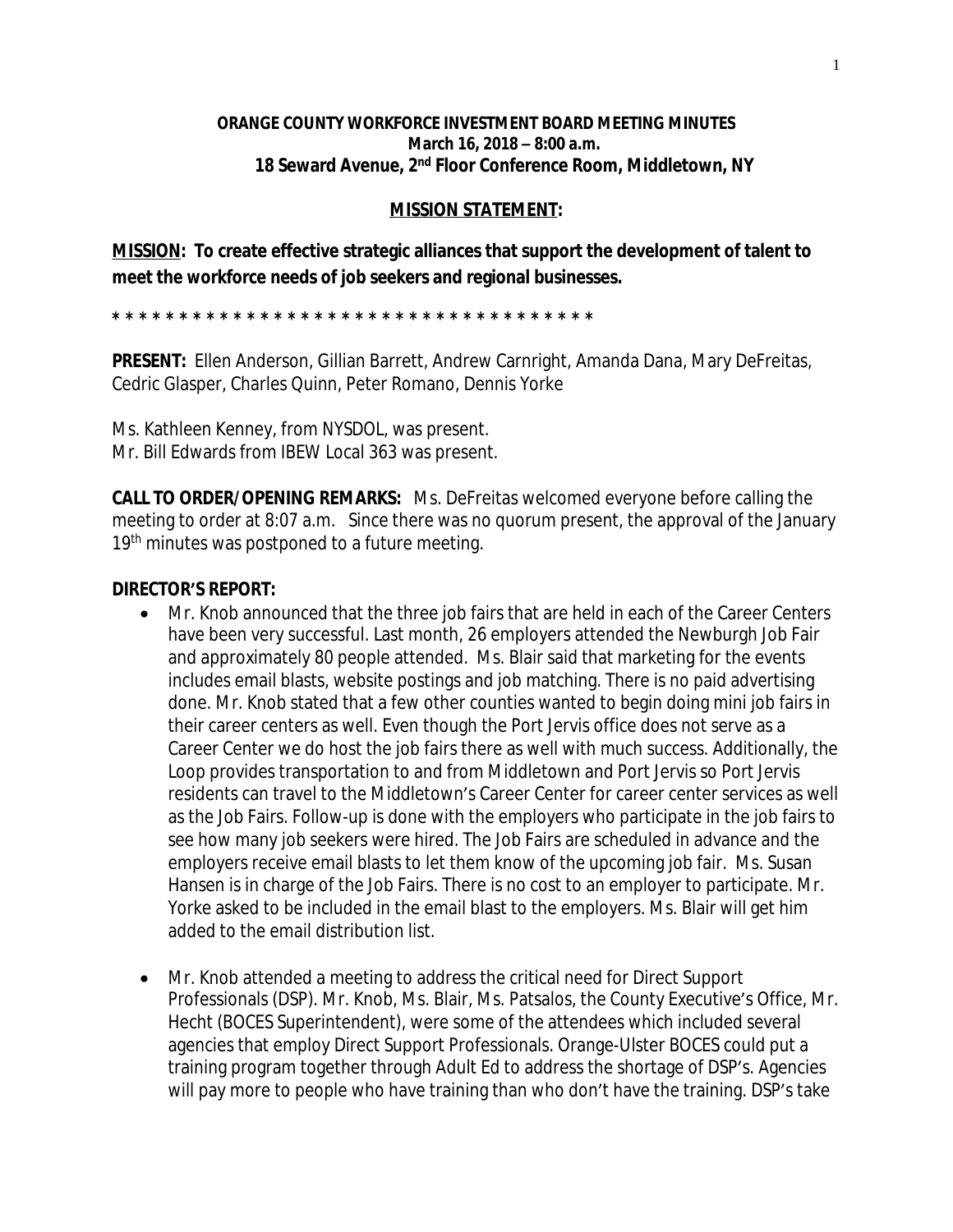## **ORANGE COUNTY WORKFORCE INVESTMENT BOARD MEETING MINUTES March 16, 2018 – 8:00 a.m. 18 Seward Avenue, 2nd Floor Conference Room, Middletown, NY**

## **MISSION STATEMENT:**

**MISSION: To create effective strategic alliances that support the development of talent to meet the workforce needs of job seekers and regional businesses.**

**\* \* \* \* \* \* \* \* \* \* \* \* \* \* \* \* \* \* \* \* \* \* \* \* \* \* \* \* \* \* \* \* \* \* \* \*** 

**PRESENT:** Ellen Anderson, Gillian Barrett, Andrew Carnright, Amanda Dana, Mary DeFreitas, Cedric Glasper, Charles Quinn, Peter Romano, Dennis Yorke

Ms. Kathleen Kenney, from NYSDOL, was present. Mr. Bill Edwards from IBEW Local 363 was present.

**CALL TO ORDER/OPENING REMARKS:** Ms. DeFreitas welcomed everyone before calling the meeting to order at 8:07 a.m. Since there was no quorum present, the approval of the January 19<sup>th</sup> minutes was postponed to a future meeting.

## **DIRECTOR'S REPORT:**

- Mr. Knob announced that the three job fairs that are held in each of the Career Centers have been very successful. Last month, 26 employers attended the Newburgh Job Fair and approximately 80 people attended. Ms. Blair said that marketing for the events includes email blasts, website postings and job matching. There is no paid advertising done. Mr. Knob stated that a few other counties wanted to begin doing mini job fairs in their career centers as well. Even though the Port Jervis office does not serve as a Career Center we do host the job fairs there as well with much success. Additionally, the Loop provides transportation to and from Middletown and Port Jervis so Port Jervis residents can travel to the Middletown's Career Center for career center services as well as the Job Fairs. Follow-up is done with the employers who participate in the job fairs to see how many job seekers were hired. The Job Fairs are scheduled in advance and the employers receive email blasts to let them know of the upcoming job fair. Ms. Susan Hansen is in charge of the Job Fairs. There is no cost to an employer to participate. Mr. Yorke asked to be included in the email blast to the employers. Ms. Blair will get him added to the email distribution list.
- Mr. Knob attended a meeting to address the critical need for Direct Support Professionals (DSP). Mr. Knob, Ms. Blair, Ms. Patsalos, the County Executive's Office, Mr. Hecht (BOCES Superintendent), were some of the attendees which included several agencies that employ Direct Support Professionals. Orange-Ulster BOCES could put a training program together through Adult Ed to address the shortage of DSP's. Agencies will pay more to people who have training than who don't have the training. DSP's take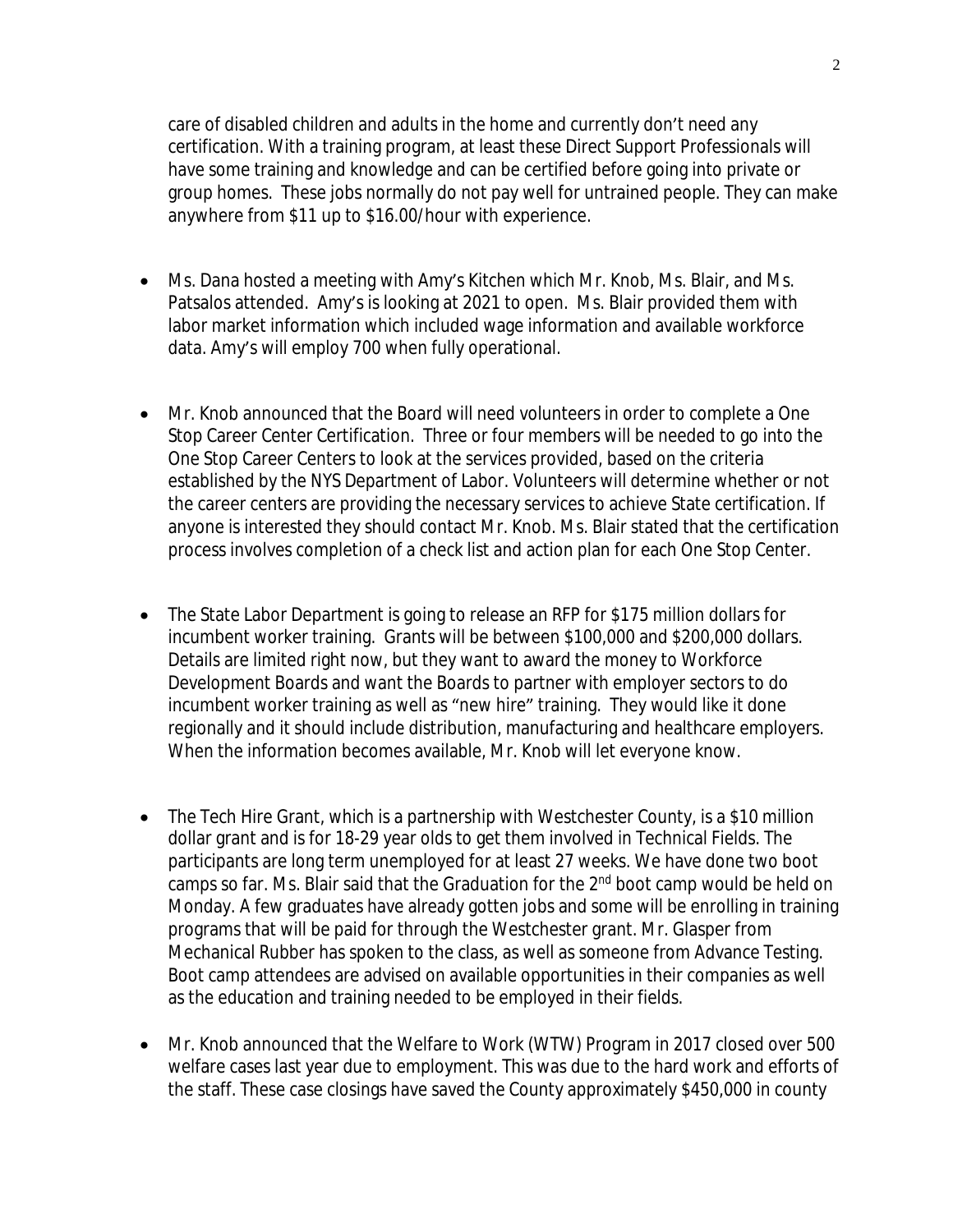care of disabled children and adults in the home and currently don't need any certification. With a training program, at least these Direct Support Professionals will have some training and knowledge and can be certified before going into private or group homes. These jobs normally do not pay well for untrained people. They can make anywhere from \$11 up to \$16.00/hour with experience.

- Ms. Dana hosted a meeting with Amy's Kitchen which Mr. Knob, Ms. Blair, and Ms. Patsalos attended. Amy's is looking at 2021 to open. Ms. Blair provided them with labor market information which included wage information and available workforce data. Amy's will employ 700 when fully operational.
- Mr. Knob announced that the Board will need volunteers in order to complete a One Stop Career Center Certification. Three or four members will be needed to go into the One Stop Career Centers to look at the services provided, based on the criteria established by the NYS Department of Labor. Volunteers will determine whether or not the career centers are providing the necessary services to achieve State certification. If anyone is interested they should contact Mr. Knob. Ms. Blair stated that the certification process involves completion of a check list and action plan for each One Stop Center.
- The State Labor Department is going to release an RFP for \$175 million dollars for incumbent worker training. Grants will be between \$100,000 and \$200,000 dollars. Details are limited right now, but they want to award the money to Workforce Development Boards and want the Boards to partner with employer sectors to do incumbent worker training as well as "new hire" training. They would like it done regionally and it should include distribution, manufacturing and healthcare employers. When the information becomes available, Mr. Knob will let everyone know.
- The Tech Hire Grant, which is a partnership with Westchester County, is a \$10 million dollar grant and is for 18-29 year olds to get them involved in Technical Fields. The participants are long term unemployed for at least 27 weeks. We have done two boot camps so far. Ms. Blair said that the Graduation for the 2<sup>nd</sup> boot camp would be held on Monday. A few graduates have already gotten jobs and some will be enrolling in training programs that will be paid for through the Westchester grant. Mr. Glasper from Mechanical Rubber has spoken to the class, as well as someone from Advance Testing. Boot camp attendees are advised on available opportunities in their companies as well as the education and training needed to be employed in their fields.
- Mr. Knob announced that the Welfare to Work (WTW) Program in 2017 closed over 500 welfare cases last year due to employment. This was due to the hard work and efforts of the staff. These case closings have saved the County approximately \$450,000 in county